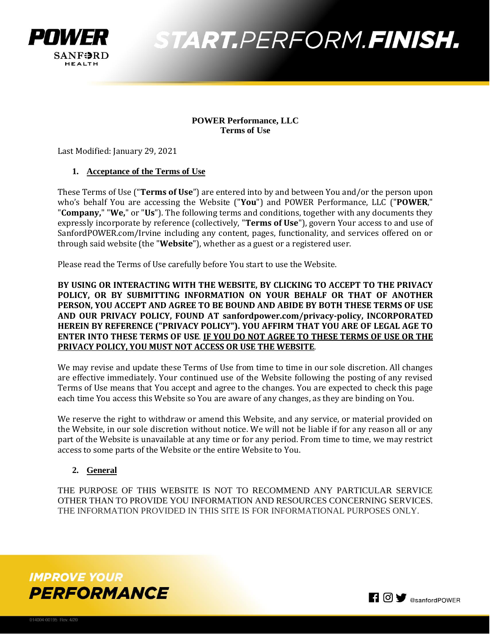

### **POWER Performance, LLC Terms of Use**

Last Modified: January 29, 2021

### **1. Acceptance of the Terms of Use**

These Terms of Use ("**Terms of Use**") are entered into by and between You and/or the person upon who's behalf You are accessing the Website ("**You**") and POWER Performance, LLC ("**POWER**," "**Company,**" "**We,**" or "**Us**"). The following terms and conditions, together with any documents they expressly incorporate by reference (collectively, "**Terms of Use**"), govern Your access to and use of SanfordPOWER.com/Irvine including any content, pages, functionality, and services offered on or through said website (the "**Website**"), whether as a guest or a registered user.

Please read the Terms of Use carefully before You start to use the Website.

**BY USING OR INTERACTING WITH THE WEBSITE, BY CLICKING TO ACCEPT TO THE PRIVACY POLICY, OR BY SUBMITTING INFORMATION ON YOUR BEHALF OR THAT OF ANOTHER PERSON, YOU ACCEPT AND AGREE TO BE BOUND AND ABIDE BY BOTH THESE TERMS OF USE AND OUR PRIVACY POLICY, FOUND AT sanfordpower.com/privacy-policy, INCORPORATED HEREIN BY REFERENCE ("PRIVACY POLICY"). YOU AFFIRM THAT YOU ARE OF LEGAL AGE TO ENTER INTO THESE TERMS OF USE**. **IF YOU DO NOT AGREE TO THESE TERMS OF USE OR THE PRIVACY POLICY, YOU MUST NOT ACCESS OR USE THE WEBSITE**.

We may revise and update these Terms of Use from time to time in our sole discretion. All changes are effective immediately. Your continued use of the Website following the posting of any revised Terms of Use means that You accept and agree to the changes. You are expected to check this page each time You access this Website so You are aware of any changes, as they are binding on You.

We reserve the right to withdraw or amend this Website, and any service, or material provided on the Website, in our sole discretion without notice. We will not be liable if for any reason all or any part of the Website is unavailable at any time or for any period. From time to time, we may restrict access to some parts of the Website or the entire Website to You.

## **2. General**

THE PURPOSE OF THIS WEBSITE IS NOT TO RECOMMEND ANY PARTICULAR SERVICE OTHER THAN TO PROVIDE YOU INFORMATION AND RESOURCES CONCERNING SERVICES. THE INFORMATION PROVIDED IN THIS SITE IS FOR INFORMATIONAL PURPOSES ONLY.



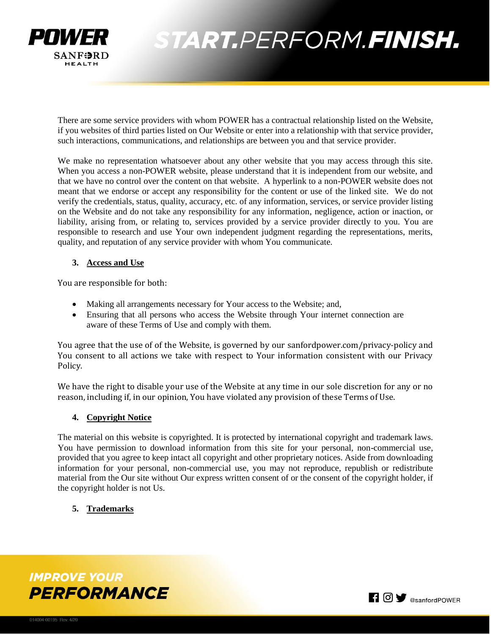

There are some service providers with whom POWER has a contractual relationship listed on the Website, if you websites of third parties listed on Our Website or enter into a relationship with that service provider, such interactions, communications, and relationships are between you and that service provider.

We make no representation whatsoever about any other website that you may access through this site. When you access a non-POWER website, please understand that it is independent from our website, and that we have no control over the content on that website. A hyperlink to a non-POWER website does not meant that we endorse or accept any responsibility for the content or use of the linked site. We do not verify the credentials, status, quality, accuracy, etc. of any information, services, or service provider listing on the Website and do not take any responsibility for any information, negligence, action or inaction, or liability, arising from, or relating to, services provided by a service provider directly to you. You are responsible to research and use Your own independent judgment regarding the representations, merits, quality, and reputation of any service provider with whom You communicate.

### **3. Access and Use**

You are responsible for both:

- Making all arrangements necessary for Your access to the Website; and,
- Ensuring that all persons who access the Website through Your internet connection are aware of these Terms of Use and comply with them.

You agree that the use of of the Website, is governed by our sanfordpower.com/privacy-policy and You consent to all actions we take with respect to Your information consistent with our Privacy Policy.

We have the right to disable your use of the Website at any time in our sole discretion for any or no reason, including if, in our opinion, You have violated any provision of these Terms of Use.

#### **4. Copyright Notice**

The material on this website is copyrighted. It is protected by international copyright and trademark laws. You have permission to download information from this site for your personal, non-commercial use, provided that you agree to keep intact all copyright and other proprietary notices. Aside from downloading information for your personal, non-commercial use, you may not reproduce, republish or redistribute material from the Our site without Our express written consent of or the consent of the copyright holder, if the copyright holder is not Us.

# **5. Trademarks**



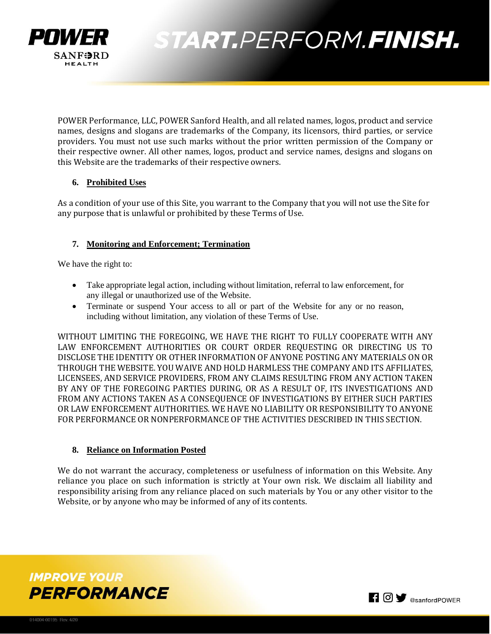

POWER Performance, LLC, POWER Sanford Health, and all related names, logos, product and service names, designs and slogans are trademarks of the Company, its licensors, third parties, or service providers. You must not use such marks without the prior written permission of the Company or their respective owner. All other names, logos, product and service names, designs and slogans on this Website are the trademarks of their respective owners.

# **6. Prohibited Uses**

As a condition of your use of this Site, you warrant to the Company that you will not use the Site for any purpose that is unlawful or prohibited by these Terms of Use.

# **7. Monitoring and Enforcement; Termination**

We have the right to:

- Take appropriate legal action, including without limitation, referral to law enforcement, for any illegal or unauthorized use of the Website.
- Terminate or suspend Your access to all or part of the Website for any or no reason, including without limitation, any violation of these Terms of Use.

WITHOUT LIMITING THE FOREGOING, WE HAVE THE RIGHT TO FULLY COOPERATE WITH ANY LAW ENFORCEMENT AUTHORITIES OR COURT ORDER REQUESTING OR DIRECTING US TO DISCLOSE THE IDENTITY OR OTHER INFORMATION OF ANYONE POSTING ANY MATERIALS ON OR THROUGH THE WEBSITE. YOU WAIVE AND HOLD HARMLESS THE COMPANY AND ITS AFFILIATES, LICENSEES, AND SERVICE PROVIDERS, FROM ANY CLAIMS RESULTING FROM ANY ACTION TAKEN BY ANY OF THE FOREGOING PARTIES DURING, OR AS A RESULT OF, ITS INVESTIGATIONS AND FROM ANY ACTIONS TAKEN AS A CONSEQUENCE OF INVESTIGATIONS BY EITHER SUCH PARTIES OR LAW ENFORCEMENT AUTHORITIES. WE HAVE NO LIABILITY OR RESPONSIBILITY TO ANYONE FOR PERFORMANCE OR NONPERFORMANCE OF THE ACTIVITIES DESCRIBED IN THIS SECTION.

## **8. Reliance on Information Posted**

We do not warrant the accuracy, completeness or usefulness of information on this Website. Any reliance you place on such information is strictly at Your own risk. We disclaim all liability and responsibility arising from any reliance placed on such materials by You or any other visitor to the Website, or by anyone who may be informed of any of its contents.



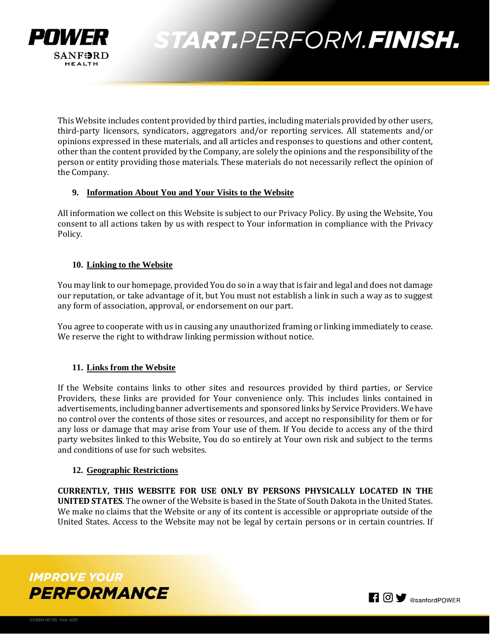

This Website includes content provided by third parties, including materials provided by other users, third-party licensors, syndicators, aggregators and/or reporting services. All statements and/or opinions expressed in these materials, and all articles and responses to questions and other content, other than the content provided by the Company, are solely the opinions and the responsibility of the person or entity providing those materials. These materials do not necessarily reflect the opinion of the Company.

### **9. Information About You and Your Visits to the Website**

All information we collect on this Website is subject to our Privacy Policy. By using the Website, You consent to all actions taken by us with respect to Your information in compliance with the Privacy Policy.

### **10. Linking to the Website**

You may link to our homepage, provided You do so in a way that is fair and legal and does not damage our reputation, or take advantage of it, but You must not establish a link in such a way as to suggest any form of association, approval, or endorsement on our part.

You agree to cooperate with us in causing any unauthorized framing or linking immediately to cease. We reserve the right to withdraw linking permission without notice.

## **11. Links from the Website**

If the Website contains links to other sites and resources provided by third parties, or Service Providers, these links are provided for Your convenience only. This includes links contained in advertisements, including banner advertisements and sponsored links by Service Providers. We have no control over the contents of those sites or resources, and accept no responsibility for them or for any loss or damage that may arise from Your use of them. If You decide to access any of the third party websites linked to this Website, You do so entirely at Your own risk and subject to the terms and conditions of use for such websites.

#### **12. Geographic Restrictions**

**CURRENTLY, THIS WEBSITE FOR USE ONLY BY PERSONS PHYSICALLY LOCATED IN THE UNITED STATES**. The owner of the Website is based in the State of South Dakota in the United States. We make no claims that the Website or any of its content is accessible or appropriate outside of the United States. Access to the Website may not be legal by certain persons or in certain countries. If



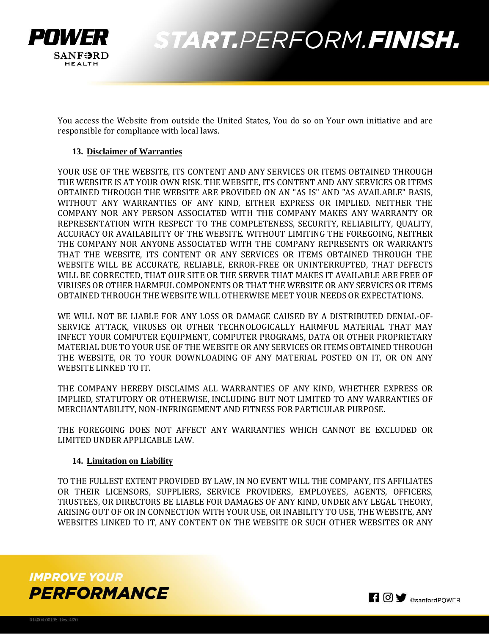

You access the Website from outside the United States, You do so on Your own initiative and are responsible for compliance with local laws.

#### **13. Disclaimer of Warranties**

YOUR USE OF THE WEBSITE, ITS CONTENT AND ANY SERVICES OR ITEMS OBTAINED THROUGH THE WEBSITE IS AT YOUR OWN RISK. THE WEBSITE, ITS CONTENT AND ANY SERVICES OR ITEMS OBTAINED THROUGH THE WEBSITE ARE PROVIDED ON AN "AS IS" AND "AS AVAILABLE" BASIS, WITHOUT ANY WARRANTIES OF ANY KIND, EITHER EXPRESS OR IMPLIED. NEITHER THE COMPANY NOR ANY PERSON ASSOCIATED WITH THE COMPANY MAKES ANY WARRANTY OR REPRESENTATION WITH RESPECT TO THE COMPLETENESS, SECURITY, RELIABILITY, QUALITY, ACCURACY OR AVAILABILITY OF THE WEBSITE. WITHOUT LIMITING THE FOREGOING, NEITHER THE COMPANY NOR ANYONE ASSOCIATED WITH THE COMPANY REPRESENTS OR WARRANTS THAT THE WEBSITE, ITS CONTENT OR ANY SERVICES OR ITEMS OBTAINED THROUGH THE WEBSITE WILL BE ACCURATE, RELIABLE, ERROR-FREE OR UNINTERRUPTED, THAT DEFECTS WILL BE CORRECTED, THAT OUR SITE OR THE SERVER THAT MAKES IT AVAILABLE ARE FREE OF VIRUSES OR OTHER HARMFUL COMPONENTS OR THAT THE WEBSITE OR ANY SERVICES OR ITEMS OBTAINED THROUGH THE WEBSITE WILL OTHERWISE MEET YOUR NEEDS OR EXPECTATIONS.

WE WILL NOT BE LIABLE FOR ANY LOSS OR DAMAGE CAUSED BY A DISTRIBUTED DENIAL-OF-SERVICE ATTACK, VIRUSES OR OTHER TECHNOLOGICALLY HARMFUL MATERIAL THAT MAY INFECT YOUR COMPUTER EQUIPMENT, COMPUTER PROGRAMS, DATA OR OTHER PROPRIETARY MATERIAL DUE TO YOUR USE OF THE WEBSITE OR ANY SERVICES OR ITEMS OBTAINED THROUGH THE WEBSITE, OR TO YOUR DOWNLOADING OF ANY MATERIAL POSTED ON IT, OR ON ANY WEBSITE LINKED TO IT.

THE COMPANY HEREBY DISCLAIMS ALL WARRANTIES OF ANY KIND, WHETHER EXPRESS OR IMPLIED, STATUTORY OR OTHERWISE, INCLUDING BUT NOT LIMITED TO ANY WARRANTIES OF MERCHANTABILITY, NON-INFRINGEMENT AND FITNESS FOR PARTICULAR PURPOSE.

THE FOREGOING DOES NOT AFFECT ANY WARRANTIES WHICH CANNOT BE EXCLUDED OR LIMITED UNDER APPLICABLE LAW.

#### **14. Limitation on Liability**

TO THE FULLEST EXTENT PROVIDED BY LAW, IN NO EVENT WILL THE COMPANY, ITS AFFILIATES OR THEIR LICENSORS, SUPPLIERS, SERVICE PROVIDERS, EMPLOYEES, AGENTS, OFFICERS, TRUSTEES, OR DIRECTORS BE LIABLE FOR DAMAGES OF ANY KIND, UNDER ANY LEGAL THEORY, ARISING OUT OF OR IN CONNECTION WITH YOUR USE, OR INABILITY TO USE, THE WEBSITE, ANY WEBSITES LINKED TO IT, ANY CONTENT ON THE WEBSITE OR SUCH OTHER WEBSITES OR ANY



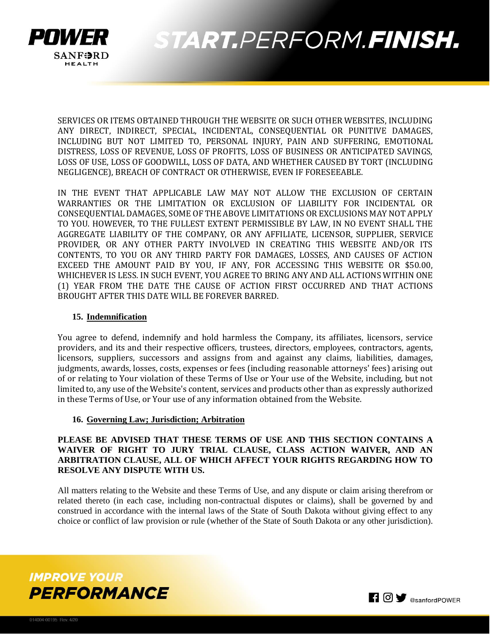

SERVICES OR ITEMS OBTAINED THROUGH THE WEBSITE OR SUCH OTHER WEBSITES, INCLUDING ANY DIRECT, INDIRECT, SPECIAL, INCIDENTAL, CONSEQUENTIAL OR PUNITIVE DAMAGES, INCLUDING BUT NOT LIMITED TO, PERSONAL INJURY, PAIN AND SUFFERING, EMOTIONAL DISTRESS, LOSS OF REVENUE, LOSS OF PROFITS, LOSS OF BUSINESS OR ANTICIPATED SAVINGS, LOSS OF USE, LOSS OF GOODWILL, LOSS OF DATA, AND WHETHER CAUSED BY TORT (INCLUDING NEGLIGENCE), BREACH OF CONTRACT OR OTHERWISE, EVEN IF FORESEEABLE.

IN THE EVENT THAT APPLICABLE LAW MAY NOT ALLOW THE EXCLUSION OF CERTAIN WARRANTIES OR THE LIMITATION OR EXCLUSION OF LIABILITY FOR INCIDENTAL OR CONSEQUENTIAL DAMAGES, SOME OF THE ABOVE LIMITATIONS OR EXCLUSIONS MAY NOT APPLY TO YOU. HOWEVER, TO THE FULLEST EXTENT PERMISSIBLE BY LAW, IN NO EVENT SHALL THE AGGREGATE LIABILITY OF THE COMPANY, OR ANY AFFILIATE, LICENSOR, SUPPLIER, SERVICE PROVIDER, OR ANY OTHER PARTY INVOLVED IN CREATING THIS WEBSITE AND/OR ITS CONTENTS, TO YOU OR ANY THIRD PARTY FOR DAMAGES, LOSSES, AND CAUSES OF ACTION EXCEED THE AMOUNT PAID BY YOU, IF ANY, FOR ACCESSING THIS WEBSITE OR \$50.00, WHICHEVER IS LESS. IN SUCH EVENT, YOU AGREE TO BRING ANY AND ALL ACTIONS WITHIN ONE (1) YEAR FROM THE DATE THE CAUSE OF ACTION FIRST OCCURRED AND THAT ACTIONS BROUGHT AFTER THIS DATE WILL BE FOREVER BARRED.

### **15. Indemnification**

You agree to defend, indemnify and hold harmless the Company, its affiliates, licensors, service providers, and its and their respective officers, trustees, directors, employees, contractors, agents, licensors, suppliers, successors and assigns from and against any claims, liabilities, damages, judgments, awards, losses, costs, expenses or fees (including reasonable attorneys' fees) arising out of or relating to Your violation of these Terms of Use or Your use of the Website, including, but not limited to, any use of the Website's content, services and products other than as expressly authorized in these Terms of Use, or Your use of any information obtained from the Website.

#### **16. Governing Law; Jurisdiction; Arbitration**

### **PLEASE BE ADVISED THAT THESE TERMS OF USE AND THIS SECTION CONTAINS A WAIVER OF RIGHT TO JURY TRIAL CLAUSE, CLASS ACTION WAIVER, AND AN ARBITRATION CLAUSE, ALL OF WHICH AFFECT YOUR RIGHTS REGARDING HOW TO RESOLVE ANY DISPUTE WITH US.**

All matters relating to the Website and these Terms of Use, and any dispute or claim arising therefrom or related thereto (in each case, including non-contractual disputes or claims), shall be governed by and construed in accordance with the internal laws of the State of South Dakota without giving effect to any choice or conflict of law provision or rule (whether of the State of South Dakota or any other jurisdiction).



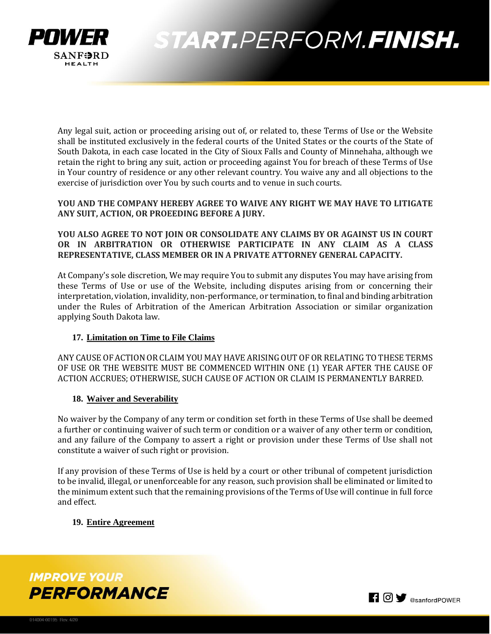

Any legal suit, action or proceeding arising out of, or related to, these Terms of Use or the Website shall be instituted exclusively in the federal courts of the United States or the courts of the State of South Dakota, in each case located in the City of Sioux Falls and County of Minnehaha, although we retain the right to bring any suit, action or proceeding against You for breach of these Terms of Use in Your country of residence or any other relevant country. You waive any and all objections to the exercise of jurisdiction over You by such courts and to venue in such courts.

**YOU AND THE COMPANY HEREBY AGREE TO WAIVE ANY RIGHT WE MAY HAVE TO LITIGATE ANY SUIT, ACTION, OR PROEEDING BEFORE A JURY.** 

# **YOU ALSO AGREE TO NOT JOIN OR CONSOLIDATE ANY CLAIMS BY OR AGAINST US IN COURT OR IN ARBITRATION OR OTHERWISE PARTICIPATE IN ANY CLAIM AS A CLASS REPRESENTATIVE, CLASS MEMBER OR IN A PRIVATE ATTORNEY GENERAL CAPACITY.**

At Company's sole discretion, We may require You to submit any disputes You may have arising from these Terms of Use or use of the Website, including disputes arising from or concerning their interpretation, violation, invalidity, non-performance, or termination, to final and binding arbitration under the Rules of Arbitration of the American Arbitration Association or similar organization applying South Dakota law.

## **17. Limitation on Time to File Claims**

ANY CAUSE OF ACTION OR CLAIM YOU MAY HAVE ARISING OUT OF OR RELATING TO THESE TERMS OF USE OR THE WEBSITE MUST BE COMMENCED WITHIN ONE (1) YEAR AFTER THE CAUSE OF ACTION ACCRUES; OTHERWISE, SUCH CAUSE OF ACTION OR CLAIM IS PERMANENTLY BARRED.

## **18. Waiver and Severability**

No waiver by the Company of any term or condition set forth in these Terms of Use shall be deemed a further or continuing waiver of such term or condition or a waiver of any other term or condition, and any failure of the Company to assert a right or provision under these Terms of Use shall not constitute a waiver of such right or provision.

If any provision of these Terms of Use is held by a court or other tribunal of competent jurisdiction to be invalid, illegal, or unenforceable for any reason, such provision shall be eliminated or limited to the minimum extent such that the remaining provisions of the Terms of Use will continue in full force and effect.

## **19. Entire Agreement**